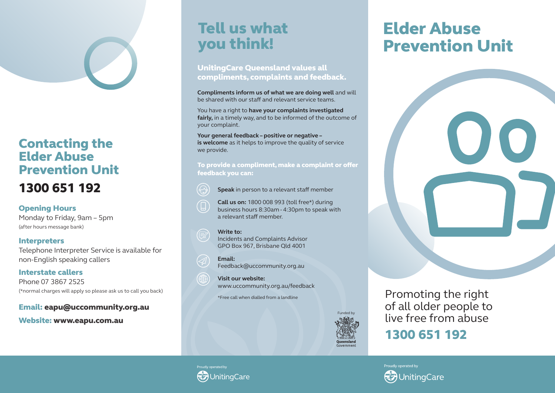## Contacting the Elder Abuse Prevention Unit 1300 651 192

Opening Hours

Monday to Friday, 9am – 5pm (after hours message bank)

#### **Interpreters**

Telephone Interpreter Service is available for non-English speaking callers

Interstate callers Phone 07 3867 2525 (\*normal charges will apply so please ask us to call you back)

#### Email: eapu@uccommunity.org.au

Website: www.eapu.com.au

# Tell us what you think!

UnitingCare Queensland values all compliments, complaints and feedback.

**Compliments inform us of what we are doing well** and will be shared with our staff and relevant service teams.

You have a right to **have your complaints investigated fairly,** in a timely way, and to be informed of the outcome of your complaint.

**Your general feedback – positive or negative – is welcome** as it helps to improve the quality of service we provide.

To provide a compliment, make a complaint or offer feedback you can:

- **Speak** in person to a relevant staff member
- **Call us on:** 1800 008 993 (toll free\*) during business hours 8:30am - 4:30pm to speak with a relevant staff member.

#### **Write to:**

Incidents and Complaints Advisor GPO Box 967, Brisbane Qld 4001

**Email:** Feedback@uccommunity.org.au

**Visit our website:** www.uccommunity.org.au/feedback

\*Free call when dialled from a landline



# Elder Abuse Prevention Unit



Promoting the right of all older people to live free from abuse

1300 651 192



Proudly operated by **InitinaCare**